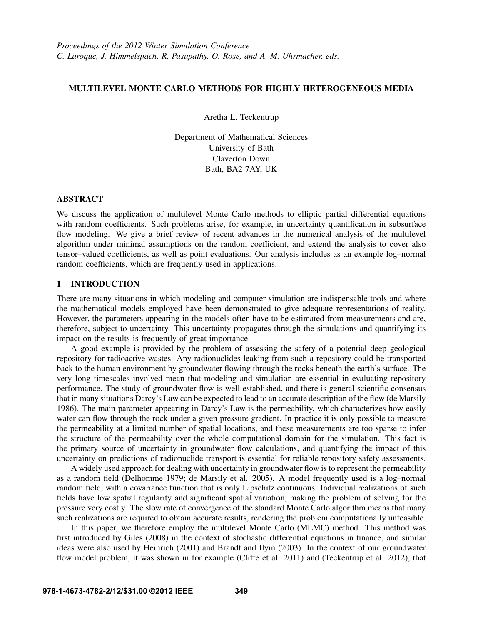# MULTILEVEL MONTE CARLO METHODS FOR HIGHLY HETEROGENEOUS MEDIA

Aretha L. Teckentrup

Department of Mathematical Sciences University of Bath Claverton Down Bath, BA2 7AY, UK

# ABSTRACT

We discuss the application of multilevel Monte Carlo methods to elliptic partial differential equations with random coefficients. Such problems arise, for example, in uncertainty quantification in subsurface flow modeling. We give a brief review of recent advances in the numerical analysis of the multilevel algorithm under minimal assumptions on the random coefficient, and extend the analysis to cover also tensor–valued coefficients, as well as point evaluations. Our analysis includes as an example log–normal random coefficients, which are frequently used in applications.

## 1 INTRODUCTION

There are many situations in which modeling and computer simulation are indispensable tools and where the mathematical models employed have been demonstrated to give adequate representations of reality. However, the parameters appearing in the models often have to be estimated from measurements and are, therefore, subject to uncertainty. This uncertainty propagates through the simulations and quantifying its impact on the results is frequently of great importance.

A good example is provided by the problem of assessing the safety of a potential deep geological repository for radioactive wastes. Any radionuclides leaking from such a repository could be transported back to the human environment by groundwater flowing through the rocks beneath the earth's surface. The very long timescales involved mean that modeling and simulation are essential in evaluating repository performance. The study of groundwater flow is well established, and there is general scientific consensus that in many situations Darcy's Law can be expected to lead to an accurate description of the flow (de Marsily 1986). The main parameter appearing in Darcy's Law is the permeability, which characterizes how easily water can flow through the rock under a given pressure gradient. In practice it is only possible to measure the permeability at a limited number of spatial locations, and these measurements are too sparse to infer the structure of the permeability over the whole computational domain for the simulation. This fact is the primary source of uncertainty in groundwater flow calculations, and quantifying the impact of this uncertainty on predictions of radionuclide transport is essential for reliable repository safety assessments.

A widely used approach for dealing with uncertainty in groundwater flow is to represent the permeability as a random field (Delhomme 1979; de Marsily et al. 2005). A model frequently used is a log–normal random field, with a covariance function that is only Lipschitz continuous. Individual realizations of such fields have low spatial regularity and significant spatial variation, making the problem of solving for the pressure very costly. The slow rate of convergence of the standard Monte Carlo algorithm means that many such realizations are required to obtain accurate results, rendering the problem computationally unfeasible.

In this paper, we therefore employ the multilevel Monte Carlo (MLMC) method. This method was first introduced by Giles (2008) in the context of stochastic differential equations in finance, and similar ideas were also used by Heinrich (2001) and Brandt and Ilyin (2003). In the context of our groundwater flow model problem, it was shown in for example (Cliffe et al. 2011) and (Teckentrup et al. 2012), that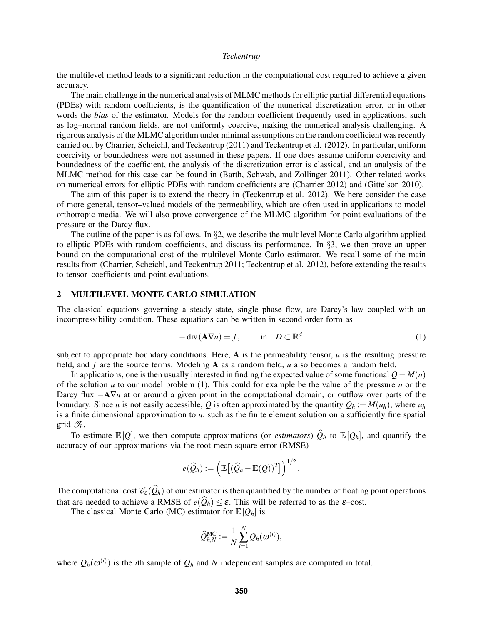the multilevel method leads to a significant reduction in the computational cost required to achieve a given accuracy.

The main challenge in the numerical analysis of MLMC methods for elliptic partial differential equations (PDEs) with random coefficients, is the quantification of the numerical discretization error, or in other words the *bias* of the estimator. Models for the random coefficient frequently used in applications, such as log–normal random fields, are not uniformly coercive, making the numerical analysis challenging. A rigorous analysis of the MLMC algorithm under minimal assumptions on the random coefficient was recently carried out by Charrier, Scheichl, and Teckentrup (2011) and Teckentrup et al. (2012). In particular, uniform coercivity or boundedness were not assumed in these papers. If one does assume uniform coercivity and boundedness of the coefficient, the analysis of the discretization error is classical, and an analysis of the MLMC method for this case can be found in (Barth, Schwab, and Zollinger 2011). Other related works on numerical errors for elliptic PDEs with random coefficients are (Charrier 2012) and (Gittelson 2010).

The aim of this paper is to extend the theory in (Teckentrup et al. 2012). We here consider the case of more general, tensor–valued models of the permeability, which are often used in applications to model orthotropic media. We will also prove convergence of the MLMC algorithm for point evaluations of the pressure or the Darcy flux.

The outline of the paper is as follows. In  $\S$ 2, we describe the multilevel Monte Carlo algorithm applied to elliptic PDEs with random coefficients, and discuss its performance. In §3, we then prove an upper bound on the computational cost of the multilevel Monte Carlo estimator. We recall some of the main results from (Charrier, Scheichl, and Teckentrup 2011; Teckentrup et al. 2012), before extending the results to tensor–coefficients and point evaluations.

# 2 MULTILEVEL MONTE CARLO SIMULATION

The classical equations governing a steady state, single phase flow, are Darcy's law coupled with an incompressibility condition. These equations can be written in second order form as

$$
- \operatorname{div} (\mathbf{A} \nabla u) = f, \qquad \text{in} \quad D \subset \mathbb{R}^d,
$$
 (1)

.

subject to appropriate boundary conditions. Here,  $A$  is the permeability tensor,  $u$  is the resulting pressure field, and *f* are the source terms. Modeling A as a random field, *u* also becomes a random field.

In applications, one is then usually interested in finding the expected value of some functional  $Q = M(u)$ of the solution *u* to our model problem (1). This could for example be the value of the pressure *u* or the Darcy flux  $-\mathbf{A}\nabla u$  at or around a given point in the computational domain, or outflow over parts of the boundary. Since *u* is not easily accessible, *Q* is often approximated by the quantity  $Q_h := M(u_h)$ , where  $u_h$ is a finite dimensional approximation to *u*, such as the finite element solution on a sufficiently fine spatial grid  $\mathscr{T}_h$ .

To estimate  $\mathbb{E}[Q]$ , we then compute approximations (or *estimators*)  $\hat{Q}_h$  to  $\mathbb{E}[Q_h]$ , and quantify the accuracy of our approximations via the root mean square error (RMSE)

$$
e(\widehat{Q}_h) := \left(\mathbb{E}\big[(\widehat{Q}_h - \mathbb{E}(Q))^2\big]\right)^{1/2}
$$

The computational cost  $\mathcal{C}_{\epsilon}(\hat{Q}_h)$  of our estimator is then quantified by the number of floating point operations that are needed to achieve a RMSE of  $e(\hat{Q}_h) \leq \varepsilon$ . This will be referred to as the  $\varepsilon$ -cost.

The classical Monte Carlo (MC) estimator for  $\mathbb{E}[Q_h]$  is

$$
\widehat{Q}_{h,N}^{\text{MC}} := \frac{1}{N} \sum_{i=1}^{N} Q_h(\boldsymbol{\omega}^{(i)}),
$$

where  $Q_h(\boldsymbol{\omega}^{(i)})$  is the *i*th sample of  $Q_h$  and *N* independent samples are computed in total.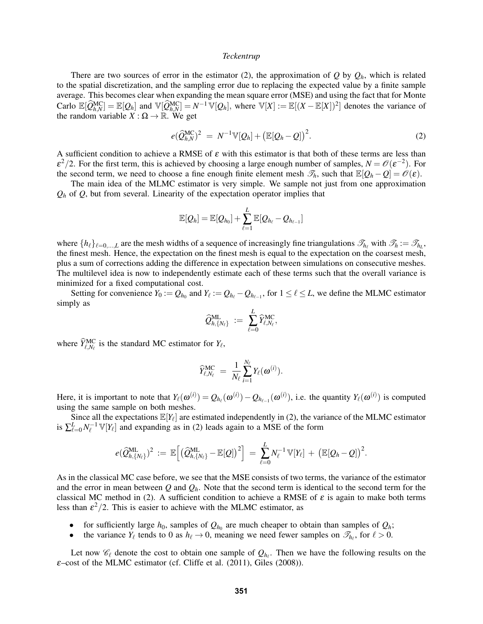There are two sources of error in the estimator (2), the approximation of  $Q$  by  $Q_h$ , which is related to the spatial discretization, and the sampling error due to replacing the expected value by a finite sample average. This becomes clear when expanding the mean square error (MSE) and using the fact that for Monte Carlo  $\mathbb{E}[\widehat{Q}_{h,N}^{\text{MC}}] = \mathbb{E}[Q_h]$  and  $\mathbb{V}[\widehat{Q}_{h,N}^{\text{MC}}] = N^{-1} \mathbb{V}[Q_h]$ , where  $\mathbb{V}[X] := \mathbb{E}[(X - \mathbb{E}[X])^2]$  denotes the variance of the random variable  $X : \Omega \to \mathbb{R}$ . We get

$$
e(\widehat{Q}_{h,N}^{\text{MC}})^2 = N^{-1} \mathbb{V}[Q_h] + \big(\mathbb{E}[Q_h - Q]\big)^2. \tag{2}
$$

A sufficient condition to achieve a RMSE of  $\varepsilon$  with this estimator is that both of these terms are less than  $\epsilon^2/2$ . For the first term, this is achieved by choosing a large enough number of samples,  $N = \mathcal{O}(\epsilon^{-2})$ . For the second term, we need to choose a fine enough finite element mesh  $\mathcal{T}_h$ , such that  $\mathbb{E}[Q_h - Q] = \mathcal{O}(\varepsilon)$ .

The main idea of the MLMC estimator is very simple. We sample not just from one approximation  $Q_h$  of  $Q$ , but from several. Linearity of the expectation operator implies that

$$
\mathbb{E}[\mathcal{Q}_h]=\mathbb{E}[\mathcal{Q}_{h_0}]+\sum_{\ell=1}^{L}\mathbb{E}[\mathcal{Q}_{h_\ell}-\mathcal{Q}_{h_{\ell-1}}]
$$

where  $\{h_\ell\}_{\ell=0,\dots,L}$  are the mesh widths of a sequence of increasingly fine triangulations  $\mathcal{T}_{h_\ell}$  with  $\mathcal{T}_h := \mathcal{T}_{h_L}$ , the finest mesh. Hence, the expectation on the finest mesh is equal to the expectation on the coarsest mesh, plus a sum of corrections adding the difference in expectation between simulations on consecutive meshes. The multilevel idea is now to independently estimate each of these terms such that the overall variance is minimized for a fixed computational cost.

Setting for convenience  $Y_0 := Q_{h_0}$  and  $Y_\ell := Q_{h_\ell} - Q_{h_{\ell-1}}$ , for  $1 \leq \ell \leq L$ , we define the MLMC estimator simply as

$$
\widehat{\mathcal{Q}}_{h,\{N_\ell\}}^{\textrm{ML}}\ :=\ \sum_{\ell=0}^L\widehat{Y}_{\ell,N_\ell}^{\textrm{MC}},
$$

where  $\hat{Y}_{\ell,N_{\ell}}^{\text{MC}}$  is the standard MC estimator for  $Y_{\ell}$ ,

$$
\widehat{Y}_{\ell,N_\ell}^{\text{MC}} \ = \ \frac{1}{N_\ell} \sum_{i=1}^{N_\ell} Y_\ell(\boldsymbol{\omega}^{(i)}).
$$

Here, it is important to note that  $Y_\ell(\omega^{(i)}) = Q_{h_\ell}(\omega^{(i)}) - Q_{h_{\ell-1}}(\omega^{(i)})$ , i.e. the quantity  $Y_\ell(\omega^{(i)})$  is computed using the same sample on both meshes.

Since all the expectations  $\mathbb{E}[Y_\ell]$  are estimated independently in (2), the variance of the MLMC estimator is  $\sum_{\ell=0}^{L} N_{\ell}^{-1} \mathbb{V}[Y_{\ell}]$  and expanding as in (2) leads again to a MSE of the form

$$
e(\widehat{Q}_{h,\lbrace N_{\ell} \rbrace}^{\textnormal{ML}})^2 := \mathbb{E}\Big[\big(\widehat{Q}_{h,\lbrace N_{\ell} \rbrace}^{\textnormal{ML}} - \mathbb{E}[Q]\big)^2\Big] = \sum_{\ell=0}^{L} N_{\ell}^{-1} \mathbb{V}[Y_{\ell}] + \big(\mathbb{E}[Q_h-Q]\big)^2.
$$

As in the classical MC case before, we see that the MSE consists of two terms, the variance of the estimator and the error in mean between  $Q$  and  $Q_h$ . Note that the second term is identical to the second term for the classical MC method in (2). A sufficient condition to achieve a RMSE of  $\varepsilon$  is again to make both terms less than  $\epsilon^2/2$ . This is easier to achieve with the MLMC estimator, as

- for sufficiently large  $h_0$ , samples of  $Q_{h_0}$  are much cheaper to obtain than samples of  $Q_h$ ;
- the variance  $Y_\ell$  tends to 0 as  $h_\ell \to 0$ , meaning we need fewer samples on  $\mathcal{T}_{h_\ell}$ , for  $\ell > 0$ .

Let now  $\mathscr{C}_{\ell}$  denote the cost to obtain one sample of  $Q_{h_{\ell}}$ . Then we have the following results on the  $\varepsilon$ –cost of the MLMC estimator (cf. Cliffe et al. (2011), Giles (2008)).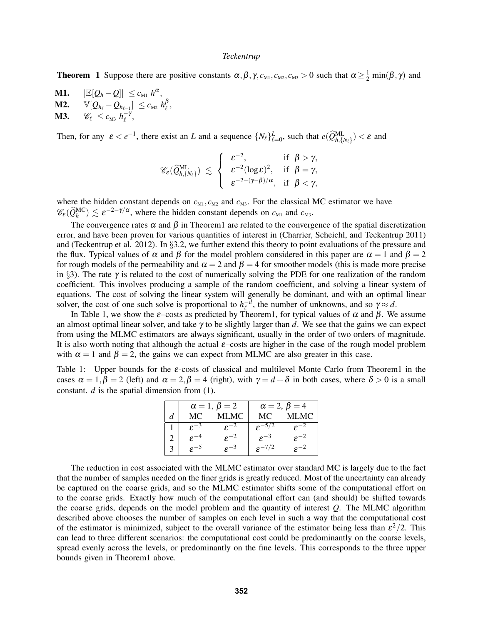**Theorem 1** Suppose there are positive constants  $\alpha, \beta, \gamma, c_{M1}, c_{M2}, c_{M3} > 0$  such that  $\alpha \ge \frac{1}{2} \min(\beta, \gamma)$  and

M1.  $|\mathbb{E}[Q_h-Q]| \leq c_{\text{M1}} h^{\alpha},$  $$  $_{\ell}^{\mathsf{p}}$  , **M3.**  $\mathscr{C}_{\ell} \leq c_{\text{M3}} h_{\ell}^{-\gamma}$  $\bar{\ell}^{\gamma}$ ,

Then, for any  $\varepsilon < e^{-1}$ , there exist an *L* and a sequence  $\{N_\ell\}_{\ell=0}^L$ , such that  $e(\widehat{Q}_{h,\{N_\ell\}}^{\text{ML}}) < \varepsilon$  and

$$
\mathscr{C}_{\varepsilon}(\widehat{\mathcal{Q}}_{h,\{N_{\ell}\}}^{\textrm{ML}}) \ \lesssim \ \left\{ \begin{array}{cl} \varepsilon^{-2}, & \textrm{if} \ \ \beta > \gamma, \\ \varepsilon^{-2}(\log \varepsilon)^{2}, & \textrm{if} \ \ \beta = \gamma, \\ \varepsilon^{-2-(\gamma-\beta)/\alpha}, & \textrm{if} \ \ \beta < \gamma, \end{array} \right.
$$

where the hidden constant depends on  $c_{M1}$ ,  $c_{M2}$  and  $c_{M3}$ . For the classical MC estimator we have  $\mathscr{C}_{\varepsilon}(\widehat{Q}_{h}^{\text{MC}}) \lesssim \varepsilon^{-2-\gamma/\alpha}$ , where the hidden constant depends on  $c_{\text{M1}}$  and  $c_{\text{M3}}$ .

The convergence rates  $\alpha$  and  $\beta$  in Theorem1 are related to the convergence of the spatial discretization error, and have been proven for various quantities of interest in (Charrier, Scheichl, and Teckentrup 2011) and (Teckentrup et al. 2012). In §3.2, we further extend this theory to point evaluations of the pressure and the flux. Typical values of  $\alpha$  and  $\beta$  for the model problem considered in this paper are  $\alpha = 1$  and  $\beta = 2$ for rough models of the permeability and  $\alpha = 2$  and  $\beta = 4$  for smoother models (this is made more precise in §3). The rate  $\gamma$  is related to the cost of numerically solving the PDE for one realization of the random coefficient. This involves producing a sample of the random coefficient, and solving a linear system of equations. The cost of solving the linear system will generally be dominant, and with an optimal linear solver, the cost of one such solve is proportional to  $h_{\ell}^{-d}$ , the number of unknowns, and so  $\gamma \approx d$ .

In Table 1, we show the  $\varepsilon$ –costs as predicted by Theorem1, for typical values of  $\alpha$  and  $\beta$ . We assume an almost optimal linear solver, and take  $\gamma$  to be slightly larger than *d*. We see that the gains we can expect from using the MLMC estimators are always significant, usually in the order of two orders of magnitude. It is also worth noting that although the actual  $\varepsilon$ –costs are higher in the case of the rough model problem with  $\alpha = 1$  and  $\beta = 2$ , the gains we can expect from MLMC are also greater in this case.

Table 1: Upper bounds for the  $\varepsilon$ -costs of classical and multilevel Monte Carlo from Theorem1 in the cases  $\alpha = 1, \beta = 2$  (left) and  $\alpha = 2, \beta = 4$  (right), with  $\gamma = d + \delta$  in both cases, where  $\delta > 0$  is a small constant. *d* is the spatial dimension from (1).

| $\alpha = 1, \beta = 2$ |                     | $\alpha = 2, \beta = 4$ |                    |
|-------------------------|---------------------|-------------------------|--------------------|
| MC                      | <b>MLMC</b>         | МC                      | MLMC               |
| $5e^{-3}$               | $\mathfrak{c}^{-2}$ | $\varepsilon^{-5/2}$    |                    |
| $\varepsilon^{-4}$      | $\mathfrak{c}^{-2}$ | $5e^{-3}$               | $\varepsilon^{-2}$ |
| $e^{-5}$                | $e^{-3}$            | $\varepsilon^{-7/2}$    |                    |

The reduction in cost associated with the MLMC estimator over standard MC is largely due to the fact that the number of samples needed on the finer grids is greatly reduced. Most of the uncertainty can already be captured on the coarse grids, and so the MLMC estimator shifts some of the computational effort on to the coarse grids. Exactly how much of the computational effort can (and should) be shifted towards the coarse grids, depends on the model problem and the quantity of interest *Q*. The MLMC algorithm described above chooses the number of samples on each level in such a way that the computational cost of the estimator is minimized, subject to the overall variance of the estimator being less than  $\epsilon^2/2$ . This can lead to three different scenarios: the computational cost could be predominantly on the coarse levels, spread evenly across the levels, or predominantly on the fine levels. This corresponds to the three upper bounds given in Theorem1 above.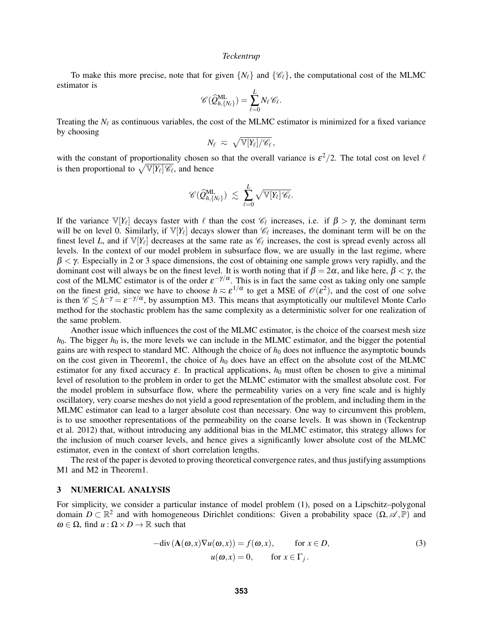To make this more precise, note that for given  $\{N_\ell\}$  and  $\{\mathscr{C}_\ell\}$ , the computational cost of the MLMC estimator is

$$
\mathscr{C}(\widehat{\mathcal{Q}}_{h,\{N_\ell\}}^{\text{ML}})=\sum_{\ell=0}^L N_\ell \mathscr{C}_\ell.
$$

Treating the  $N_\ell$  as continuous variables, the cost of the MLMC estimator is minimized for a fixed variance by choosing

$$
N_{\ell} \,\,\eqsim\,\, \sqrt{\mathbb{V}[Y_{\ell}]/\mathscr{C}_{\ell}}\,,
$$

with the constant of proportionality chosen so that the overall variance is  $\epsilon^2/2$ . The total cost on level  $\ell$ is then proportional to  $\sqrt{\mathbb{V}[Y_{\ell}]\mathcal{C}_{\ell}}$ , and hence

$$
\mathscr{C}(\widehat{\mathcal{Q}}_{h,\{N_\ell\}}^\text{ML}) \ \lesssim \ \sum_{\ell=0}^L \sqrt{\mathbb{V}[Y_\ell]\,\mathscr{C}_\ell}.
$$

If the variance  $\mathbb{V}[Y_\ell]$  decays faster with  $\ell$  than the cost  $\mathscr{C}_\ell$  increases, i.e. if  $\beta > \gamma$ , the dominant term will be on level 0. Similarly, if  $V[Y_\ell]$  decays slower than  $\mathscr{C}_\ell$  increases, the dominant term will be on the finest level *L*, and if  $V[Y_\ell]$  decreases at the same rate as  $\mathscr{C}_\ell$  increases, the cost is spread evenly across all levels. In the context of our model problem in subsurface flow, we are usually in the last regime, where  $\beta < \gamma$ . Especially in 2 or 3 space dimensions, the cost of obtaining one sample grows very rapidly, and the dominant cost will always be on the finest level. It is worth noting that if  $\beta = 2\alpha$ , and like here,  $\beta < \gamma$ , the cost of the MLMC estimator is of the order  $\varepsilon^{-\gamma/\alpha}$ . This is in fact the same cost as taking only one sample on the finest grid, since we have to choose  $h \approx \varepsilon^{1/\alpha}$  to get a MSE of  $\mathcal{O}(\varepsilon^2)$ , and the cost of one solve is then  $\mathscr{C} \leq h^{-\gamma} = \varepsilon^{-\gamma/\alpha}$ , by assumption M3. This means that asymptotically our multilevel Monte Carlo method for the stochastic problem has the same complexity as a deterministic solver for one realization of the same problem.

Another issue which influences the cost of the MLMC estimator, is the choice of the coarsest mesh size  $h_0$ . The bigger  $h_0$  is, the more levels we can include in the MLMC estimator, and the bigger the potential gains are with respect to standard MC. Although the choice of  $h_0$  does not influence the asymptotic bounds on the cost given in Theorem1, the choice of  $h_0$  does have an effect on the absolute cost of the MLMC estimator for any fixed accuracy  $\varepsilon$ . In practical applications,  $h_0$  must often be chosen to give a minimal level of resolution to the problem in order to get the MLMC estimator with the smallest absolute cost. For the model problem in subsurface flow, where the permeability varies on a very fine scale and is highly oscillatory, very coarse meshes do not yield a good representation of the problem, and including them in the MLMC estimator can lead to a larger absolute cost than necessary. One way to circumvent this problem, is to use smoother representations of the permeability on the coarse levels. It was shown in (Teckentrup et al. 2012) that, without introducing any additional bias in the MLMC estimator, this strategy allows for the inclusion of much coarser levels, and hence gives a significantly lower absolute cost of the MLMC estimator, even in the context of short correlation lengths.

The rest of the paper is devoted to proving theoretical convergence rates, and thus justifying assumptions M1 and M2 in Theorem1.

## 3 NUMERICAL ANALYSIS

For simplicity, we consider a particular instance of model problem (1), posed on a Lipschitz–polygonal domain  $D \subset \mathbb{R}^2$  and with homogeneous Dirichlet conditions: Given a probability space  $(\Omega, \mathscr{A}, \mathbb{P})$  and  $\omega \in \Omega$ , find  $u : \Omega \times D \to \mathbb{R}$  such that

$$
-div(\mathbf{A}(\omega, x)\nabla u(\omega, x)) = f(\omega, x), \quad \text{for } x \in D, u(\omega, x) = 0, \quad \text{for } x \in \Gamma_j.
$$
 (3)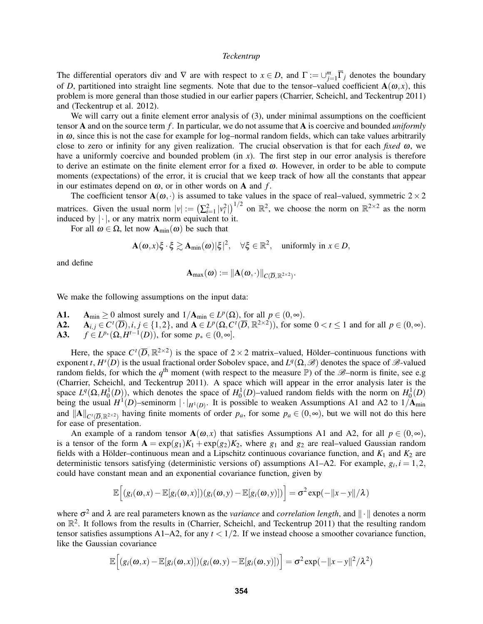The differential operators div and  $\nabla$  are with respect to  $x \in D$ , and  $\Gamma := \bigcup_{j=1}^{m} \overline{\Gamma}_j$  denotes the boundary of *D*, partitioned into straight line segments. Note that due to the tensor–valued coefficient  $A(\omega, x)$ , this problem is more general than those studied in our earlier papers (Charrier, Scheichl, and Teckentrup 2011) and (Teckentrup et al. 2012).

We will carry out a finite element error analysis of (3), under minimal assumptions on the coefficient tensor A and on the source term *f* . In particular, we do not assume that A is coercive and bounded *uniformly* in  $\omega$ , since this is not the case for example for log–normal random fields, which can take values arbitrarily close to zero or infinity for any given realization. The crucial observation is that for each *fixed* ω, we have a uniformly coercive and bounded problem (in x). The first step in our error analysis is therefore to derive an estimate on the finite element error for a fixed  $\omega$ . However, in order to be able to compute moments (expectations) of the error, it is crucial that we keep track of how all the constants that appear in our estimates depend on ω, or in other words on A and *f* .

The coefficient tensor  $A(\omega, \cdot)$  is assumed to take values in the space of real–valued, symmetric  $2 \times 2$ matrices. Given the usual norm  $|v| := (\sum_{i=1}^2 |v_i^2|)^{1/2}$  on  $\mathbb{R}^2$ , we choose the norm on  $\mathbb{R}^{2 \times 2}$  as the norm induced by  $|\cdot|$ , or any matrix norm equivalent to it.

For all  $\omega \in \Omega$ , let now  $A_{\min}(\omega)$  be such that

$$
\mathbf{A}(\boldsymbol{\omega},x)\boldsymbol{\xi}\cdot\boldsymbol{\xi}\gtrsim\mathbf{A}_{\min}(\boldsymbol{\omega})|\boldsymbol{\xi}|^2,\quad\forall\boldsymbol{\xi}\in\mathbb{R}^2,\quad\text{uniformly in $x\in D$},
$$

and define

$$
\mathbf{A}_{\max}(\boldsymbol{\omega}) := \|\mathbf{A}(\boldsymbol{\omega},\cdot)\|_{\boldsymbol{C}(\overline{D},\mathbb{R}^{2\times 2})}.
$$

We make the following assumptions on the input data:

- **A1.**  $\mathbf{A}_{\text{min}} \ge 0$  almost surely and  $1/\mathbf{A}_{\text{min}} \in L^p(\Omega)$ , for all  $p \in (0, \infty)$ .
- A2.  $\mathbf{A}_{i,j} \in C^t(\overline{D}), i, j \in \{1,2\}, \text{ and } \mathbf{A} \in L^p(\Omega, C^t(\overline{D}, \mathbb{R}^{2 \times 2}))$ , for some  $0 < t \le 1$  and for all  $p \in (0, \infty)$ . **A3.**  $f \in L^{p*}(\Omega, H^{t-1}(D))$ , for some  $p_* \in (0, \infty]$ .

Here, the space  $C^{\dagger}(\overline{D}, \mathbb{R}^{2\times 2})$  is the space of  $2 \times 2$  matrix–valued, Hölder–continuous functions with exponent *t*,  $H^s(D)$  is the usual fractional order Sobolev space, and  $L^q(\Omega, \mathscr{B})$  denotes the space of  $\mathscr{B}$ -valued random fields, for which the  $q^{\text{th}}$  moment (with respect to the measure P) of the  $\mathscr{B}-$ norm is finite, see e.g (Charrier, Scheichl, and Teckentrup 2011). A space which will appear in the error analysis later is the space  $L^q(\Omega, H_0^1(D))$ , which denotes the space of  $H_0^1(D)$ –valued random fields with the norm on  $H_0^1(D)$ being the usual  $H^1(D)$ -seminorm  $|\cdot|_{H^1(D)}$ . It is possible to weaken Assumptions A1 and A2 to  $1/\mathbf{A}_{\text{min}}$ and  $\|\mathbf{A}\|_{C^t(\overline{D}, \mathbb{R}^{2\times 2})}$  having finite moments of order  $p_a$ , for some  $p_a \in (0, \infty)$ , but we will not do this here for ease of presentation.

An example of a random tensor  $\mathbf{A}(\omega, x)$  that satisfies Assumptions A1 and A2, for all  $p \in (0, \infty)$ , is a tensor of the form  $A = \exp(g_1)K_1 + \exp(g_2)K_2$ , where  $g_1$  and  $g_2$  are real–valued Gaussian random fields with a Hölder–continuous mean and a Lipschitz continuous covariance function, and  $K_1$  and  $K_2$  are deterministic tensors satisfying (deterministic versions of) assumptions A1–A2. For example,  $g_i$ ,  $i = 1, 2$ , could have constant mean and an exponential covariance function, given by

$$
\mathbb{E}\Big[(g_i(\boldsymbol{\omega},x)-\mathbb{E}[g_i(\boldsymbol{\omega},x)])(g_i(\boldsymbol{\omega},y)-\mathbb{E}[g_i(\boldsymbol{\omega},y)])\Big] = \sigma^2 \exp(-\|x-y\|/\lambda)
$$

where  $\sigma^2$  and  $\lambda$  are real parameters known as the *variance* and *correlation length*, and  $\|\cdot\|$  denotes a norm on  $\mathbb{R}^2$ . It follows from the results in (Charrier, Scheichl, and Teckentrup 2011) that the resulting random tensor satisfies assumptions A1–A2, for any  $t < 1/2$ . If we instead choose a smoother covariance function, like the Gaussian covariance

$$
\mathbb{E}\Big[(g_i(\boldsymbol{\omega},x)-\mathbb{E}[g_i(\boldsymbol{\omega},x)])(g_i(\boldsymbol{\omega},y)-\mathbb{E}[g_i(\boldsymbol{\omega},y)])\Big] = \sigma^2 \exp(-\|x-y\|^2/\lambda^2)
$$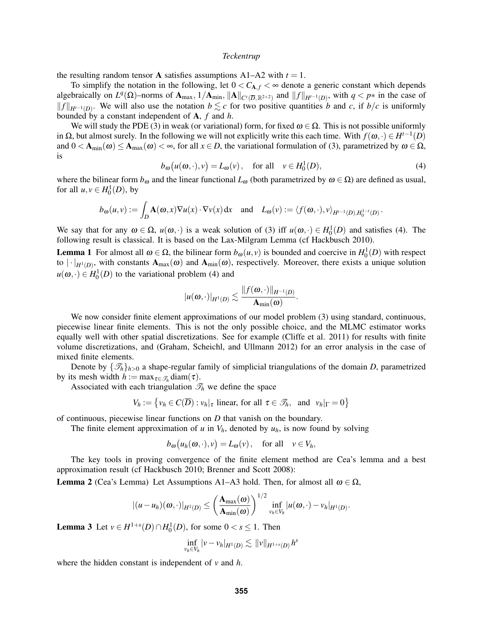the resulting random tensor A satisfies assumptions  $A1-A2$  with  $t = 1$ .

To simplify the notation in the following, let  $0 < C_{A,f} < \infty$  denote a generic constant which depends algebraically on  $L^q(\Omega)$ –norms of  $\mathbf{A}_{\text{max}}$ ,  $1/\mathbf{A}_{\text{min}}$ ,  $\|\mathbf{A}\|_{C^l(\overline{D}, \mathbb{R}^{2\times 2})}$  and  $\|f\|_{H^{t-1}(D)}$ , with  $q < p*$  in the case of  $||f||_{H^{t-1}(D)}$ . We will also use the notation *b*  $\leq$  *c* for two positive quantities *b* and *c*, if *b*/*c* is uniformly bounded by a constant independent of A, *f* and *h*.

We will study the PDE (3) in weak (or variational) form, for fixed  $\omega \in \Omega$ . This is not possible uniformly in  $\Omega$ , but almost surely. In the following we will not explicitly write this each time. With  $f(\omega,\cdot) \in H^{t-1}(D)$ and  $0 < A_{min}(\omega) \le A_{max}(\omega) < \infty$ , for all  $x \in D$ , the variational formulation of (3), parametrized by  $\omega \in \Omega$ , is

$$
b_{\omega}(u(\omega,\cdot),v) = L_{\omega}(v), \quad \text{for all} \quad v \in H_0^1(D), \tag{4}
$$

where the bilinear form  $b_{\omega}$  and the linear functional  $L_{\omega}$  (both parametrized by  $\omega \in \Omega$ ) are defined as usual, for all  $u, v \in H_0^1(D)$ , by

$$
b_{\boldsymbol{\omega}}(u,v):=\int_D \mathbf{A}(\boldsymbol{\omega},x)\nabla u(x)\cdot \nabla v(x)\,dx \quad \text{and} \quad L_{\boldsymbol{\omega}}(v):=\langle f(\boldsymbol{\omega},\cdot),v\rangle_{H^{t-1}(D),H_0^{1-t}(D)}.
$$

We say that for any  $\omega \in \Omega$ ,  $u(\omega, \cdot)$  is a weak solution of (3) iff  $u(\omega, \cdot) \in H_0^1(D)$  and satisfies (4). The following result is classical. It is based on the Lax-Milgram Lemma (cf Hackbusch 2010).

Lemma 1 For almost all  $\omega \in \Omega$ , the bilinear form  $b_{\omega}(u, v)$  is bounded and coercive in  $H_0^1(D)$  with respect to  $|\cdot|_{H^1(D)}$ , with constants  $A_{max}(\omega)$  and  $A_{min}(\omega)$ , respectively. Moreover, there exists a unique solution  $u(\omega, \cdot) \in H_0^1(D)$  to the variational problem (4) and

$$
|u(\boldsymbol{\omega},\cdot)|_{H^1(D)} \lesssim \frac{\|f(\boldsymbol{\omega},\cdot)\|_{H^{-1}(D)}}{\mathbf{A}_{\min}(\boldsymbol{\omega})}.
$$

We now consider finite element approximations of our model problem (3) using standard, continuous, piecewise linear finite elements. This is not the only possible choice, and the MLMC estimator works equally well with other spatial discretizations. See for example (Cliffe et al. 2011) for results with finite volume discretizations, and (Graham, Scheichl, and Ullmann 2012) for an error analysis in the case of mixed finite elements.

Denote by  $\{\mathcal{I}_h\}_{h>0}$  a shape-regular family of simplicial triangulations of the domain *D*, parametrized by its mesh width  $h := \max_{\tau \in \mathcal{T}_h} \text{diam}(\tau)$ .

Associated with each triangulation  $\mathcal{T}_h$  we define the space

$$
V_h := \{ v_h \in C(\overline{D}) : v_h|_{\tau} \text{ linear, for all } \tau \in \mathcal{T}_h, \text{ and } v_h|_{\Gamma} = 0 \}
$$

of continuous, piecewise linear functions on *D* that vanish on the boundary.

The finite element approximation of  $u$  in  $V_h$ , denoted by  $u_h$ , is now found by solving

$$
b_{\omega}(u_h(\omega,\cdot),v)=L_{\omega}(v), \text{ for all } v \in V_h,
$$

The key tools in proving convergence of the finite element method are Cea's lemma and a best approximation result (cf Hackbusch 2010; Brenner and Scott 2008):

**Lemma 2** (Cea's Lemma) Let Assumptions A1–A3 hold. Then, for almost all  $\omega \in \Omega$ ,

$$
|(u-u_h)(\boldsymbol{\omega},\cdot)|_{H^1(D)}\leq \left(\frac{\mathbf{A}_{\max}(\boldsymbol{\omega})}{\mathbf{A}_{\min}(\boldsymbol{\omega})}\right)^{1/2}\inf_{v_h\in V_h}|u(\boldsymbol{\omega},\cdot)-v_h|_{H^1(D)}.
$$

**Lemma 3** Let  $v \in H^{1+s}(D) \cap H_0^1(D)$ , for some  $0 < s \le 1$ . Then

$$
\inf_{v_h \in V_h} |v - v_h|_{H^1(D)} \lesssim ||v||_{H^{1+s}(D)} h^s
$$

where the hidden constant is independent of *v* and *h*.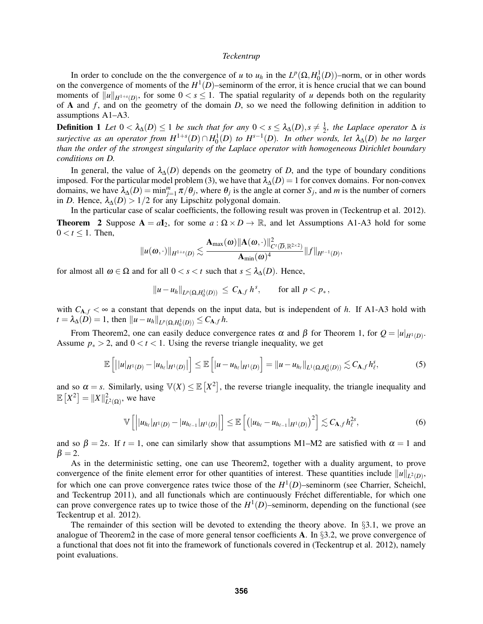In order to conclude on the the convergence of *u* to  $u_h$  in the  $L^p(\Omega, H_0^1(D))$ –norm, or in other words on the convergence of moments of the  $H^1(D)$ –seminorm of the error, it is hence crucial that we can bound moments of  $||u||_{H^{1+s}(D)}$ , for some  $0 < s \le 1$ . The spatial regularity of *u* depends both on the regularity of A and *f* , and on the geometry of the domain *D*, so we need the following definition in addition to assumptions A1–A3.

**Definition 1** *Let*  $0 < \lambda_{\Delta}(D) \leq 1$  *be such that for any*  $0 < s \leq \lambda_{\Delta}(D), s \neq \frac{1}{2}$  $\frac{1}{2}$ *, the Laplace operator*  $\Delta$  *is*  $s$ *urjective as an operator from*  $H^{1+s}(D) \cap H_0^1(D)$  *to*  $H^{s-1}(D)$ *. In other words, let*  $\lambda_{\Delta}(D)$  *be no larger than the order of the strongest singularity of the Laplace operator with homogeneous Dirichlet boundary conditions on D.*

In general, the value of  $\lambda_{\Delta}(D)$  depends on the geometry of *D*, and the type of boundary conditions imposed. For the particular model problem (3), we have that  $\lambda_{\Delta}(D) = 1$  for convex domains. For non-convex domains, we have  $\lambda_{\Delta}(D) = \min_{j=1}^{m} \pi/\theta_j$ , where  $\theta_j$  is the angle at corner *S<sub>j</sub>*, and *m* is the number of corners in *D*. Hence,  $\lambda_{\Delta}(D) > 1/2$  for any Lipschitz polygonal domain.

In the particular case of scalar coefficients, the following result was proven in (Teckentrup et al. 2012). **Theorem 2** Suppose  $A = aI_2$ , for some  $a : \Omega \times D \to \mathbb{R}$ , and let Assumptions A1-A3 hold for some  $0 < t \leq 1$ . Then,

$$
\|u(\omega,\cdot)\|_{H^{1+s}(D)} \lesssim \frac{\mathbf{A}_{\max}(\omega) \|\mathbf{A}(\omega,\cdot)\|_{C^l(\overline{D},\mathbb{R}^{2\times 2})}^2}{\mathbf{A}_{\min}(\omega)^4} \|f\|_{H^{l-1}(D)},
$$

for almost all  $\omega \in \Omega$  and for all  $0 < s < t$  such that  $s \leq \lambda_{\Delta}(D)$ . Hence,

$$
||u - u_h||_{L^p(\Omega, H_0^1(D))} \leq C_{\mathbf{A},f} h^s, \quad \text{for all } p < p_*,
$$

with  $C_{A,f} < \infty$  a constant that depends on the input data, but is independent of *h*. If A1-A3 hold with  $t = \lambda_{\Delta}(D) = 1$ , then  $||u - u_h||_{L^p(\Omega, H_0^1(D))} \leq C_{\mathbf{A},f} h$ .

From Theorem2, one can easily deduce convergence rates  $\alpha$  and  $\beta$  for Theorem 1, for  $Q = |u|_{H^1(D)}$ . Assume  $p_* > 2$ , and  $0 < t < 1$ . Using the reverse triangle inequality, we get

$$
\mathbb{E}\left[||u|_{H^1(D)} - |u_{h_\ell}|_{H^1(D)}|\right] \leq \mathbb{E}\left[|u - u_{h_\ell}|_{H^1(D)}\right] = ||u - u_{h_\ell}||_{L^1(\Omega, H_0^1(D))} \lesssim C_{\mathbf{A},f} h_\ell^s,
$$
\n(5)

and so  $\alpha = s$ . Similarly, using  $\mathbb{V}(X) \leq \mathbb{E}[X^2]$ , the reverse triangle inequality, the triangle inequality and  $\mathbb{E}[X^2] = \|X\|_{L^2(\Omega)}^2$ , we have

$$
\mathbb{V}\left[\left||u_{h_{\ell}}|_{H^{1}(D)}-|u_{h_{\ell-1}}|_{H^{1}(D)}\right|\right] \leq \mathbb{E}\left[\left(|u_{h_{\ell}}-u_{h_{\ell-1}}|_{H^{1}(D)}\right)^{2}\right] \lesssim C_{\mathbf{A},f} h_{\ell}^{2s},\tag{6}
$$

and so  $\beta = 2s$ . If  $t = 1$ , one can similarly show that assumptions M1–M2 are satisfied with  $\alpha = 1$  and  $\beta = 2$ .

As in the deterministic setting, one can use Theorem2, together with a duality argument, to prove convergence of the finite element error for other quantities of interest. These quantities include  $||u||_{L^2(D)}$ , for which one can prove convergence rates twice those of the  $H^1(D)$ –seminorm (see Charrier, Scheichl, and Teckentrup 2011), and all functionals which are continuously Fréchet differentiable, for which one can prove convergence rates up to twice those of the  $H^1(D)$ –seminorm, depending on the functional (see Teckentrup et al. 2012).

The remainder of this section will be devoted to extending the theory above. In §3.1, we prove an analogue of Theorem2 in the case of more general tensor coefficients A. In §3.2, we prove convergence of a functional that does not fit into the framework of functionals covered in (Teckentrup et al. 2012), namely point evaluations.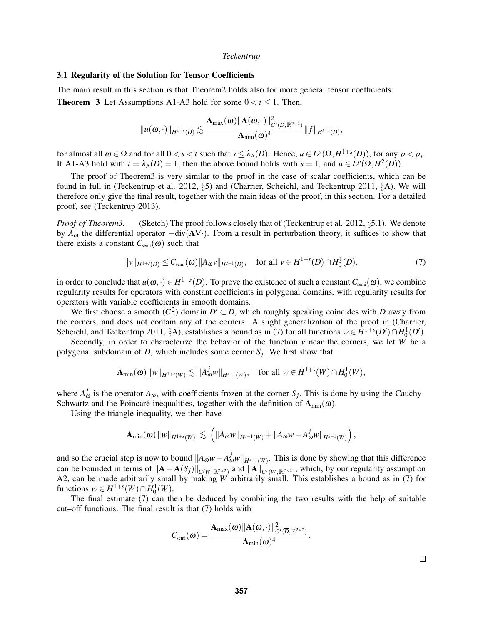## 3.1 Regularity of the Solution for Tensor Coefficients

The main result in this section is that Theorem2 holds also for more general tensor coefficients. **Theorem 3** Let Assumptions A1-A3 hold for some  $0 < t \le 1$ . Then,

$$
\|u(\omega,\cdot)\|_{H^{1+s}(D)} \lesssim \frac{\mathbf{A}_{\max}(\omega) \|\mathbf{A}(\omega,\cdot)\|_{C^t(\overline{D},\mathbb{R}^{2\times 2})}^2}{\mathbf{A}_{\min}(\omega)^4} \|f\|_{H^{t-1}(D)},
$$

for almost all  $\omega \in \Omega$  and for all  $0 < s < t$  such that  $s \leq \lambda_{\Delta}(D)$ . Hence,  $u \in L^p(\Omega, H^{1+s}(D))$ , for any  $p < p_*$ . If A1-A3 hold with  $t = \lambda_{\Delta}(D) = 1$ , then the above bound holds with  $s = 1$ , and  $u \in L^p(\Omega, H^2(D))$ .

The proof of Theorem3 is very similar to the proof in the case of scalar coefficients, which can be found in full in (Teckentrup et al. 2012, §5) and (Charrier, Scheichl, and Teckentrup 2011, §A). We will therefore only give the final result, together with the main ideas of the proof, in this section. For a detailed proof, see (Teckentrup 2013).

*Proof of Theorem3.* (Sketch) The proof follows closely that of (Teckentrup et al. 2012, §5.1). We denote by *A*<sup>ω</sup> the differential operator −div(A∇·). From a result in perturbation theory, it suffices to show that there exists a constant  $C_{\text{semi}}(\omega)$  such that

$$
||v||_{H^{1+s}(D)} \leq C_{\text{semi}}(\omega)||A_{\omega}v||_{H^{s-1}(D)}, \quad \text{for all } v \in H^{1+s}(D) \cap H_0^1(D), \tag{7}
$$

in order to conclude that  $u(\omega,\cdot) \in H^{1+s}(D)$ . To prove the existence of such a constant  $C_{\text{semi}}(\omega)$ , we combine regularity results for operators with constant coefficients in polygonal domains, with regularity results for operators with variable coefficients in smooth domains.

We first choose a smooth  $(C^2)$  domain  $D' \subset D$ , which roughly speaking coincides with *D* away from the corners, and does not contain any of the corners. A slight generalization of the proof in (Charrier, Scheichl, and Teckentrup 2011, §A), establishes a bound as in (7) for all functions  $w \in H^{1+s}(D') \cap H_0^1(D')$ .

Secondly, in order to characterize the behavior of the function *v* near the corners, we let *W* be a polygonal subdomain of *D*, which includes some corner *S<sup>j</sup>* . We first show that

$$
\mathbf{A}_{\min}(\omega) \, ||w||_{H^{1+s}(W)} \lesssim ||A^j_\omega w||_{H^{s-1}(W)}, \quad \text{for all } w \in H^{1+s}(W) \cap H^1_0(W),
$$

where  $A_{\omega}^j$  is the operator  $A_{\omega}$ , with coefficients frozen at the corner  $S_j$ . This is done by using the Cauchy– Schwartz and the Poincaré inequalities, together with the definition of  $A_{min}(\omega)$ .

Using the triangle inequality, we then have

$$
\mathbf{A}_{\min}(\omega) \, ||w||_{H^{1+s}(W)} \, \lesssim \, \left( ||A_\omega w||_{H^{s-1}(W)} + ||A_\omega w - A_\omega^j w||_{H^{s-1}(W)} \right),
$$

and so the crucial step is now to bound  $||A_{\omega}w - A_{\omega}^j w||_{H^{s-1}(W)}$ . This is done by showing that this difference can be bounded in terms of  $\|\mathbf{A} - \mathbf{A}(S_j)\|_{C(\overline{W}, \mathbb{R}^{2\times 2})}$  and  $\|\mathbf{A}\|_{C^t(\overline{W}, \mathbb{R}^{2\times 2})}$ , which, by our regularity assumption A2, can be made arbitrarily small by making *W* arbitrarily small. This establishes a bound as in (7) for functions  $w \in H^{1+s}(W) \cap H_0^1(W)$ .

The final estimate (7) can then be deduced by combining the two results with the help of suitable cut–off functions. The final result is that (7) holds with

$$
C_{\textsf{semi}}(\pmb{\omega}) = \frac{\mathbf{A}_{\max}(\pmb{\omega})\|\mathbf{A}(\pmb{\omega},\cdot)\|^2_{C^t(\overline{D},\mathbb{R}^{2\times 2})}}{\mathbf{A}_{\min}(\pmb{\omega})^4}.
$$

 $\Box$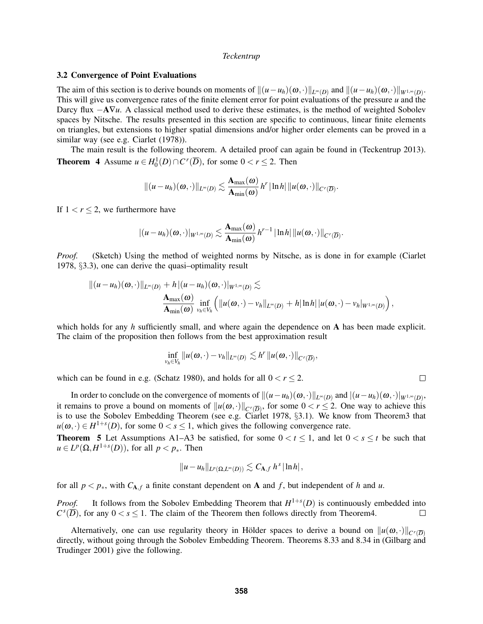## 3.2 Convergence of Point Evaluations

The aim of this section is to derive bounds on moments of  $\|(u - u_h)(\omega, \cdot)\|_{L^\infty(D)}$  and  $\|(u - u_h)(\omega, \cdot)\|_{W^{1,\infty}(D)}$ . This will give us convergence rates of the finite element error for point evaluations of the pressure *u* and the Darcy flux  $-\mathbf{A}\nabla u$ . A classical method used to derive these estimates, is the method of weighted Sobolev spaces by Nitsche. The results presented in this section are specific to continuous, linear finite elements on triangles, but extensions to higher spatial dimensions and/or higher order elements can be proved in a similar way (see e.g. Ciarlet (1978)).

The main result is the following theorem. A detailed proof can again be found in (Teckentrup 2013). **Theorem 4** Assume  $u \in H_0^1(D) \cap C^r(\overline{D})$ , for some  $0 < r \le 2$ . Then

$$
\|(u-u_h)(\boldsymbol{\omega},\cdot)\|_{L^\infty(D)}\lesssim \frac{\mathbf{A}_{\max}(\boldsymbol{\omega})}{\mathbf{A}_{\min}(\boldsymbol{\omega})}h^r|\ln h|\,||u(\boldsymbol{\omega},\cdot)||_{C^r(\overline{D})}.
$$

If  $1 < r < 2$ , we furthermore have

$$
|(u-u_h)(\omega,\cdot)|_{W^{1,\infty}(D)} \lesssim \frac{\mathbf{A}_{\max}(\omega)}{\mathbf{A}_{\min}(\omega)} h^{r-1} |\ln h| \|u(\omega,\cdot)\|_{C^r(\overline{D})}.
$$

*Proof.* (Sketch) Using the method of weighted norms by Nitsche, as is done in for example (Ciarlet 1978, §3.3), one can derive the quasi–optimality result

$$
||(u-u_h)(\omega,\cdot)||_{L^{\infty}(D)}+h|(u-u_h)(\omega,\cdot)|_{W^{1,\infty}(D)} \lesssim \frac{\mathbf{A}_{\max}(\omega)}{\mathbf{A}_{\min}(\omega)}\inf_{\nu_h\in V_h}\left(||u(\omega,\cdot)-\nu_h||_{L^{\infty}(D)}+h|\ln h||u(\omega,\cdot)-\nu_h|_{W^{1,\infty}(D)}\right),
$$

which holds for any *h* sufficiently small, and where again the dependence on **A** has been made explicit. The claim of the proposition then follows from the best approximation result

$$
\inf_{v_h \in V_h} \|u(\omega, \cdot) - v_h\|_{L^{\infty}(D)} \lesssim h^r \|u(\omega, \cdot)\|_{C^r(\overline{D})},
$$

 $\Box$ 

which can be found in e.g. (Schatz 1980), and holds for all  $0 < r \le 2$ .

In order to conclude on the convergence of moments of  $\|(u-u_h)(\omega,\cdot)\|_{L^\infty(D)}$  and  $|(u-u_h)(\omega,\cdot)|_{W^{1,\infty}(D)}$ , it remains to prove a bound on moments of  $\|u(\omega,\cdot)\|_{C^r(\overline{D})}$ , for some  $0 < r \le 2$ . One way to achieve this is to use the Sobolev Embedding Theorem (see e.g. Ciarlet 1978, §3.1). We know from Theorem3 that  $u(\omega, \cdot) \in H^{1+s}(D)$ , for some  $0 < s \le 1$ , which gives the following convergence rate.

**Theorem 5** Let Assumptions A1–A3 be satisfied, for some  $0 < t \le 1$ , and let  $0 < s \le t$  be such that  $u \in L^p(\Omega, H^{1+s}(D))$ , for all  $p < p_*$ . Then

$$
||u-u_h||_{L^p(\Omega,L^\infty(D))}\lesssim C_{\mathbf{A},f} h^s\,|\ln h|,
$$

for all  $p < p_*$ , with  $C_{A,f}$  a finite constant dependent on A and f, but independent of h and u.

*Proof.* It follows from the Sobolev Embedding Theorem that  $H^{1+s}(D)$  is continuously embedded into  $C<sup>s</sup>(\overline{D})$ , for any  $0 < s \le 1$ . The claim of the Theorem then follows directly from Theorem4.  $\Box$ 

Alternatively, one can use regularity theory in Hölder spaces to derive a bound on  $\|u(\omega,\cdot)\|_{C^r(\overline{D})}$ directly, without going through the Sobolev Embedding Theorem. Theorems 8.33 and 8.34 in (Gilbarg and Trudinger 2001) give the following.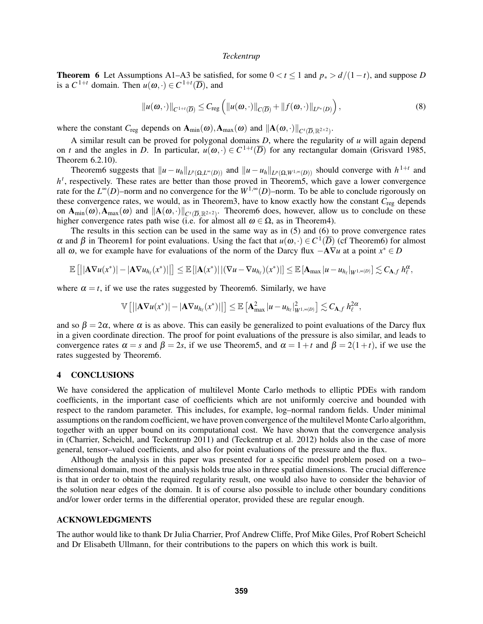**Theorem 6** Let Assumptions A1–A3 be satisfied, for some  $0 < t \le 1$  and  $p_* > d/(1-t)$ , and suppose *D* is a  $C^{1+t}$  domain. Then  $u(\omega, \cdot) \in C^{1+t}(\overline{D})$ , and

$$
||u(\boldsymbol{\omega},\cdot)||_{C^{1+t}(\overline{D})}\leq C_{\text{reg}}\left(||u(\boldsymbol{\omega},\cdot)||_{C(\overline{D})}+||f(\boldsymbol{\omega},\cdot)||_{L^{p*}(D)}\right),
$$
\n(8)

where the constant  $C_{reg}$  depends on  $\mathbf{A}_{min}(\boldsymbol{\omega}), \mathbf{A}_{max}(\boldsymbol{\omega})$  and  $\|\mathbf{A}(\boldsymbol{\omega},\cdot)\|_{C^t(\overline{D},\mathbb{R}^{2\times 2})}$ .

A similar result can be proved for polygonal domains *D*, where the regularity of *u* will again depend on *t* and the angles in *D*. In particular,  $u(\omega, \cdot) \in C^{1+t}(\overline{D})$  for any rectangular domain (Grisvard 1985, Theorem 6.2.10).

Theorem6 suggests that  $||u - u_h||_{L^p(\Omega, L^\infty(D))}$  and  $||u - u_h||_{L^p(\Omega, W^{1,\infty}(D))}$  should converge with  $h^{1+t}$  and *h t* , respectively. These rates are better than those proved in Theorem5, which gave a lower convergence rate for the  $L^{\infty}(D)$ –norm and no convergence for the  $W^{1,\infty}(D)$ –norm. To be able to conclude rigorously on these convergence rates, we would, as in Theorem3, have to know exactly how the constant *C*reg depends on  $A_{min}(\omega)$ ,  $A_{max}(\omega)$  and  $||A(\omega,\cdot)||_{C^t(\overline{D},\mathbb{R}^{2\times 2})}$ . Theorem6 does, however, allow us to conclude on these higher convergence rates path wise (i.e. for almost all  $\omega \in \Omega$ , as in Theorem4).

The results in this section can be used in the same way as in (5) and (6) to prove convergence rates *α* and *β* in Theorem1 for point evaluations. Using the fact that  $u$ ( $ω$ , ·) ∈  $C$ <sup>1</sup>( $\overline{D}$ ) (cf Theorem6) for almost all  $\omega$ , we for example have for evaluations of the norm of the Darcy flux  $-\mathbf{A}\nabla u$  at a point  $x^* \in D$ 

$$
\mathbb{E}\left[\left|\left|\mathbf{A}\nabla u(x^*)\right|-\left|\mathbf{A}\nabla u_{h_\ell}(x^*)\right|\right|\right] \leq \mathbb{E}\left[\left|\mathbf{A}(x^*)\right|\left|\left(\nabla u-\nabla u_{h_\ell}\right)(x^*)\right|\right] \leq \mathbb{E}\left[\mathbf{A}_{\max}\left|u-u_{h_\ell}\right|_{W^{1,\infty(D)}}\right] \lesssim C_{\mathbf{A},f} h_\ell^{\alpha},
$$

where  $\alpha = t$ , if we use the rates suggested by Theorem6. Similarly, we have

$$
\mathbb{V}\left[\left|\left|\mathbf{A}\nabla u(x^*)\right|-\left|\mathbf{A}\nabla u_{h_\ell}(x^*)\right|\right|\right] \leq \mathbb{E}\left[\mathbf{A}_{\max}^2|u-u_{h_\ell}|_{W^{1,\infty(D)}}^2\right] \lesssim C_{\mathbf{A},f} h_\ell^{2\alpha},
$$

and so  $\beta = 2\alpha$ , where  $\alpha$  is as above. This can easily be generalized to point evaluations of the Darcy flux in a given coordinate direction. The proof for point evaluations of the pressure is also similar, and leads to convergence rates  $\alpha = s$  and  $\beta = 2s$ , if we use Theorem5, and  $\alpha = 1+t$  and  $\beta = 2(1+t)$ , if we use the rates suggested by Theorem6.

### 4 CONCLUSIONS

We have considered the application of multilevel Monte Carlo methods to elliptic PDEs with random coefficients, in the important case of coefficients which are not uniformly coercive and bounded with respect to the random parameter. This includes, for example, log–normal random fields. Under minimal assumptions on the random coefficient, we have proven convergence of the multilevel Monte Carlo algorithm, together with an upper bound on its computational cost. We have shown that the convergence analysis in (Charrier, Scheichl, and Teckentrup 2011) and (Teckentrup et al. 2012) holds also in the case of more general, tensor–valued coefficients, and also for point evaluations of the pressure and the flux.

Although the analysis in this paper was presented for a specific model problem posed on a two– dimensional domain, most of the analysis holds true also in three spatial dimensions. The crucial difference is that in order to obtain the required regularity result, one would also have to consider the behavior of the solution near edges of the domain. It is of course also possible to include other boundary conditions and/or lower order terms in the differential operator, provided these are regular enough.

## ACKNOWLEDGMENTS

The author would like to thank Dr Julia Charrier, Prof Andrew Cliffe, Prof Mike Giles, Prof Robert Scheichl and Dr Elisabeth Ullmann, for their contributions to the papers on which this work is built.